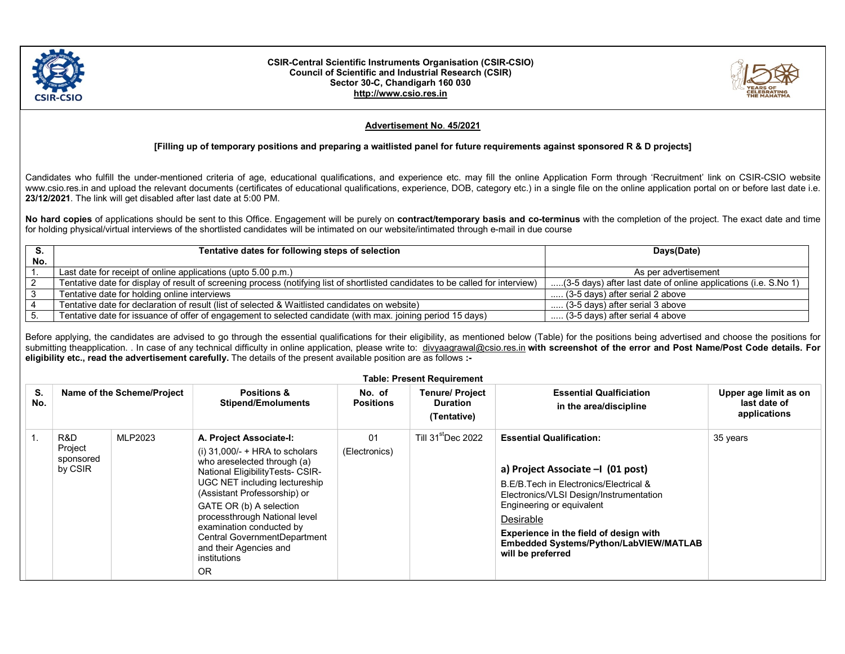

## CSIR-Central Scientific Instruments Organisation (CSIR-CSIO) Council of Scientific and Industrial Research (CSIR) Sector 30-C, Chandigarh 160 030 http://www.csio.res.in



## Advertisement No. 45/2021

## [Filling up of temporary positions and preparing a waitlisted panel for future requirements against sponsored R & D projects]

Candidates who fulfill the under-mentioned criteria of age, educational qualifications, and experience etc. may fill the online Application Form through 'Recruitment' link on CSIR-CSIO website www.csio.res.in and upload the relevant documents (certificates of educational qualifications, experience, DOB, category etc.) in a single file on the online application portal on or before last date i.e. 23/12/2021. The link will get disabled after last date at 5:00 PM.

No hard copies of applications should be sent to this Office. Engagement will be purely on contract/temporary basis and co-terminus with the completion of the project. The exact date and time for holding physical/virtual interviews of the shortlisted candidates will be intimated on our website/intimated through e-mail in due course

|     | Tentative dates for following steps of selection                                                                                | Days(Date)                                                      |  |
|-----|---------------------------------------------------------------------------------------------------------------------------------|-----------------------------------------------------------------|--|
| No. |                                                                                                                                 |                                                                 |  |
|     | Last date for receipt of online applications (upto 5.00 p.m.)                                                                   | As per advertisement                                            |  |
|     | Tentative date for display of result of screening process (notifying list of shortlisted candidates to be called for interview) | (3-5 days) after last date of online applications (i.e. S.No 1) |  |
|     | Tentative date for holding online interviews                                                                                    | (3-5 days) after serial 2 above                                 |  |
|     | Tentative date for declaration of result (list of selected & Waitlisted candidates on website)                                  | $\ldots$ (3-5 days) after serial 3 above                        |  |
|     | Tentative date for issuance of offer of engagement to selected candidate (with max. joining period 15 days)                     | (3-5 days) after serial 4 above                                 |  |

Before applying, the candidates are advised to go through the essential qualifications for their eligibility, as mentioned below (Table) for the positions being advertised and choose the positions for submitting theapplication. . In case of any technical difficulty in online application, please write to: divyaagrawal@csio.res.in with screenshot of the error and Post Name/Post Code details. For eligibility etc., read the advertisement carefully. The details of the present available position are as follows :-

|  |  | <b>Table: Present Requirement</b> |
|--|--|-----------------------------------|
|--|--|-----------------------------------|

| S.<br>No. |                                        | Name of the Scheme/Project | <b>Positions &amp;</b><br><b>Stipend/Emoluments</b>                                                                                                                                                                                                                                                                                                                            | No. of<br><b>Positions</b> | <b>Tenure/ Project</b><br><b>Duration</b><br>(Tentative) | <b>Essential Qualficiation</b><br>in the area/discipline                                                                                                                                                                                                                                                     | Upper age limit as on<br>last date of<br>applications |
|-----------|----------------------------------------|----------------------------|--------------------------------------------------------------------------------------------------------------------------------------------------------------------------------------------------------------------------------------------------------------------------------------------------------------------------------------------------------------------------------|----------------------------|----------------------------------------------------------|--------------------------------------------------------------------------------------------------------------------------------------------------------------------------------------------------------------------------------------------------------------------------------------------------------------|-------------------------------------------------------|
|           | R&D<br>Project<br>sponsored<br>by CSIR | MLP2023                    | A. Project Associate-I:<br>(i) $31,000/- + HRA$ to scholars<br>who areselected through (a)<br>National EligibilityTests- CSIR-<br>UGC NET including lectureship<br>(Assistant Professorship) or<br>GATE OR (b) A selection<br>processthrough National level<br>examination conducted by<br>Central GovernmentDepartment<br>and their Agencies and<br>institutions<br><b>OR</b> | 01<br>(Electronics)        | Till 31 <sup>st</sup> Dec 2022                           | <b>Essential Qualification:</b><br>a) Project Associate -1 (01 post)<br>B.E/B.Tech in Electronics/Electrical &<br>Electronics/VLSI Design/Instrumentation<br>Engineering or equivalent<br>Desirable<br>Experience in the field of design with<br>Embedded Systems/Python/LabVIEW/MATLAB<br>will be preferred | 35 years                                              |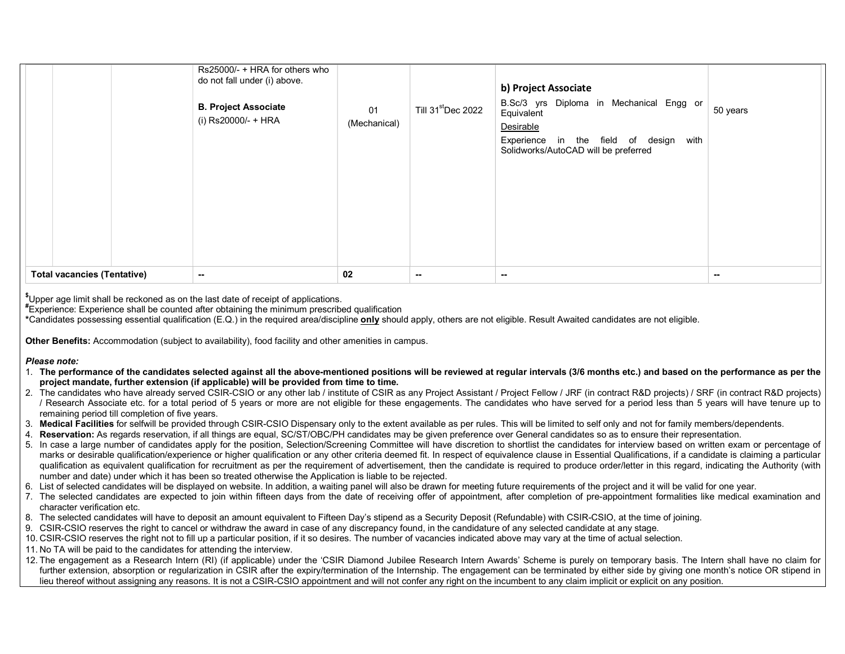|                                              | Rs25000/- + HRA for others who<br>do not fall under (i) above.<br><b>B. Project Associate</b><br>(i) Rs20000/- + HRA | 01<br>(Mechanical) | Till 31stDec 2022 | b) Project Associate<br>B.Sc/3 yrs Diploma in Mechanical Engg or<br>Equivalent<br>Desirable<br>Experience in the field of design with<br>Solidworks/AutoCAD will be preferred | 50 years |
|----------------------------------------------|----------------------------------------------------------------------------------------------------------------------|--------------------|-------------------|-------------------------------------------------------------------------------------------------------------------------------------------------------------------------------|----------|
| <b>Total vacancies (Tentative)</b><br>$\sim$ |                                                                                                                      | 02                 | $\sim$            | $\sim$                                                                                                                                                                        | $\sim$   |

<sup>\$</sup>Upper age limit shall be reckoned as on the last date of receipt of applications.

#Experience: Experience shall be counted after obtaining the minimum prescribed qualification

\*Candidates possessing essential qualification (E.Q.) in the required area/discipline only should apply, others are not eligible. Result Awaited candidates are not eligible.

Other Benefits: Accommodation (subject to availability), food facility and other amenities in campus.

## Please note:

- 1. The performance of the candidates selected against all the above-mentioned positions will be reviewed at regular intervals (3/6 months etc.) and based on the performance as per the project mandate, further extension (if applicable) will be provided from time to time.
- 2. The candidates who have already served CSIR-CSIO or any other lab / institute of CSIR as any Project Assistant / Project Fellow / JRF (in contract R&D projects) / SRF (in contract R&D projects) / Research Associate etc. for a total period of 5 years or more are not eligible for these engagements. The candidates who have served for a period less than 5 years will have tenure up to remaining period till completion of five years.
- 3. Medical Facilities for selfwill be provided through CSIR-CSIO Dispensary only to the extent available as per rules. This will be limited to self only and not for family members/dependents.
- 4. Reservation: As regards reservation, if all things are equal, SC/ST/OBC/PH candidates may be given preference over General candidates so as to ensure their representation.
- 5. In case a large number of candidates apply for the position, Selection/Screening Committee will have discretion to shortlist the candidates for interview based on written exam or percentage of marks or desirable qualification/experience or higher qualification or any other criteria deemed fit. In respect of equivalence clause in Essential Qualifications, if a candidate is claiming a particular qualification as equivalent qualification for recruitment as per the requirement of advertisement, then the candidate is required to produce order/letter in this regard, indicating the Authority (with number and date) under which it has been so treated otherwise the Application is liable to be rejected.
- 6. List of selected candidates will be displayed on website. In addition, a waiting panel will also be drawn for meeting future requirements of the project and it will be valid for one year.
- 7. The selected candidates are expected to join within fifteen days from the date of receiving offer of appointment, after completion of pre-appointment formalities like medical examination and character verification etc.
- 8. The selected candidates will have to deposit an amount equivalent to Fifteen Day's stipend as a Security Deposit (Refundable) with CSIR-CSIO, at the time of joining.
- 9. CSIR-CSIO reserves the right to cancel or withdraw the award in case of any discrepancy found, in the candidature of any selected candidate at any stage.
- 10. CSIR-CSIO reserves the right not to fill up a particular position, if it so desires. The number of vacancies indicated above may vary at the time of actual selection.
- 11. No TA will be paid to the candidates for attending the interview.
- 12. The engagement as a Research Intern (RI) (if applicable) under the 'CSIR Diamond Jubilee Research Intern Awards' Scheme is purely on temporary basis. The Intern shall have no claim for further extension, absorption or regularization in CSIR after the expiry/termination of the Internship. The engagement can be terminated by either side by giving one month's notice OR stipend in lieu thereof without assigning any reasons. It is not a CSIR-CSIO appointment and will not confer any right on the incumbent to any claim implicit or explicit on any position.